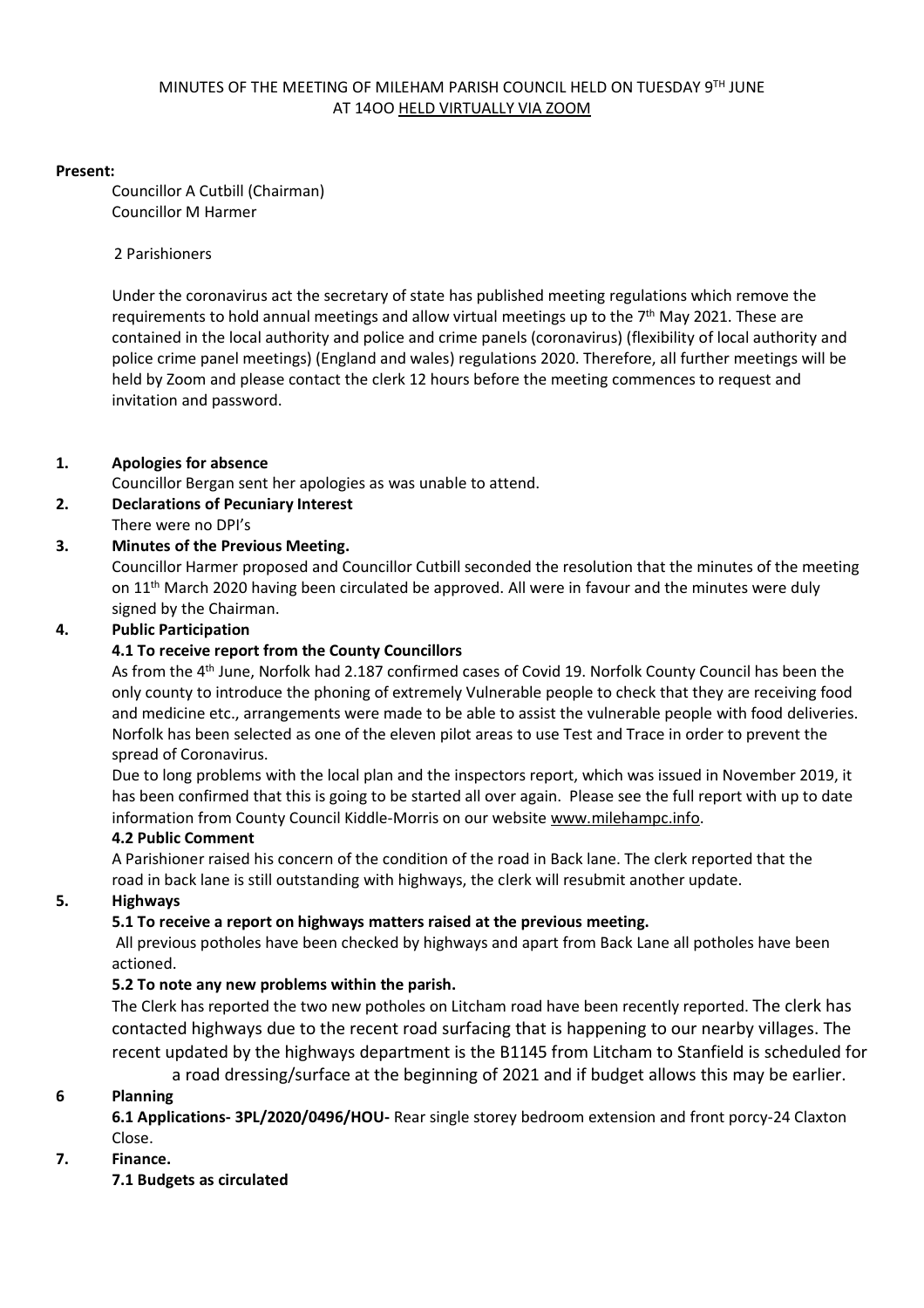#### MINUTES OF THE MEETING OF MILEHAM PARISH COUNCIL HELD ON TUESDAY 9TH JUNE AT 14OO HELD VIRTUALLY VIA ZOOM

#### **Present:**

Councillor A Cutbill (Chairman) Councillor M Harmer

#### 2 Parishioners

Under the coronavirus act the secretary of state has published meeting regulations which remove the requirements to hold annual meetings and allow virtual meetings up to the 7<sup>th</sup> May 2021. These are contained in the local authority and police and crime panels (coronavirus) (flexibility of local authority and police crime panel meetings) (England and wales) regulations 2020. Therefore, all further meetings will be held by Zoom and please contact the clerk 12 hours before the meeting commences to request and invitation and password.

### **1. Apologies for absence**

Councillor Bergan sent her apologies as was unable to attend.

## **2. Declarations of Pecuniary Interest**

There were no DPI's

### **3. Minutes of the Previous Meeting.**

Councillor Harmer proposed and Councillor Cutbill seconded the resolution that the minutes of the meeting on 11<sup>th</sup> March 2020 having been circulated be approved. All were in favour and the minutes were duly signed by the Chairman.

### **4. Public Participation**

#### **4.1 To receive report from the County Councillors**

As from the 4<sup>th</sup> June, Norfolk had 2.187 confirmed cases of Covid 19. Norfolk County Council has been the only county to introduce the phoning of extremely Vulnerable people to check that they are receiving food and medicine etc., arrangements were made to be able to assist the vulnerable people with food deliveries. Norfolk has been selected as one of the eleven pilot areas to use Test and Trace in order to prevent the spread of Coronavirus.

Due to long problems with the local plan and the inspectors report, which was issued in November 2019, it has been confirmed that this is going to be started all over again. Please see the full report with up to date information from County Council Kiddle-Morris on our website [www.milehampc.info.](http://www.milehampc.info/)

### **4.2 Public Comment**

A Parishioner raised his concern of the condition of the road in Back lane. The clerk reported that the road in back lane is still outstanding with highways, the clerk will resubmit another update.

### **5. Highways**

### **5.1 To receive a report on highways matters raised at the previous meeting.**

All previous potholes have been checked by highways and apart from Back Lane all potholes have been actioned.

### **5.2 To note any new problems within the parish.**

The Clerk has reported the two new potholes on Litcham road have been recently reported. The clerk has contacted highways due to the recent road surfacing that is happening to our nearby villages. The recent updated by the highways department is the B1145 from Litcham to Stanfield is scheduled for

a road dressing/surface at the beginning of 2021 and if budget allows this may be earlier.

### **6 Planning**

**6.1 Applications- 3PL/2020/0496/HOU-** Rear single storey bedroom extension and front porcy-24 Claxton Close.

### **7. Finance.**

**7.1 Budgets as circulated**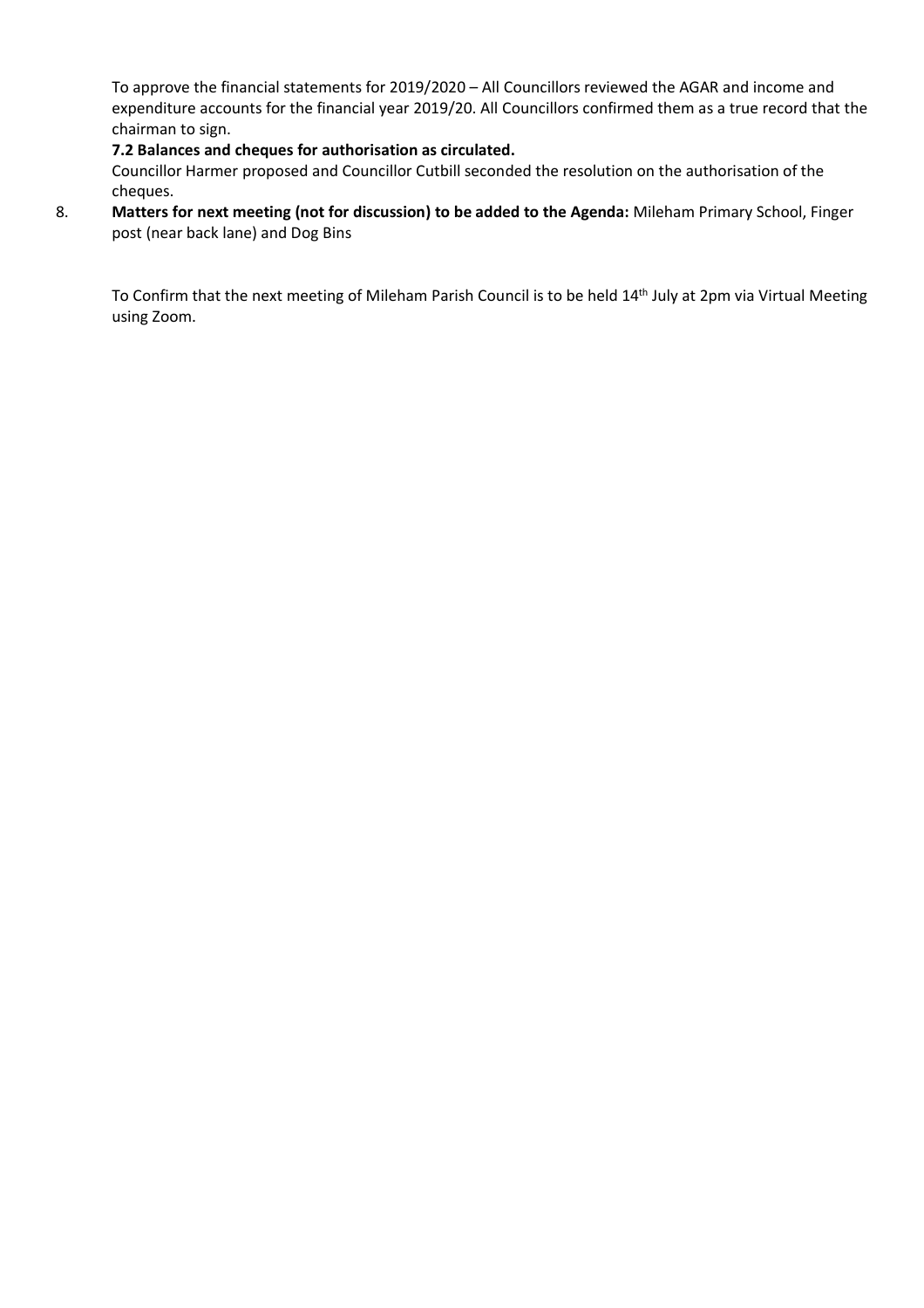To approve the financial statements for 2019/2020 – All Councillors reviewed the AGAR and income and expenditure accounts for the financial year 2019/20. All Councillors confirmed them as a true record that the chairman to sign.

### **7.2 Balances and cheques for authorisation as circulated.**

Councillor Harmer proposed and Councillor Cutbill seconded the resolution on the authorisation of the cheques.

8. **Matters for next meeting (not for discussion) to be added to the Agenda:** Mileham Primary School, Finger post (near back lane) and Dog Bins

To Confirm that the next meeting of Mileham Parish Council is to be held 14<sup>th</sup> July at 2pm via Virtual Meeting using Zoom.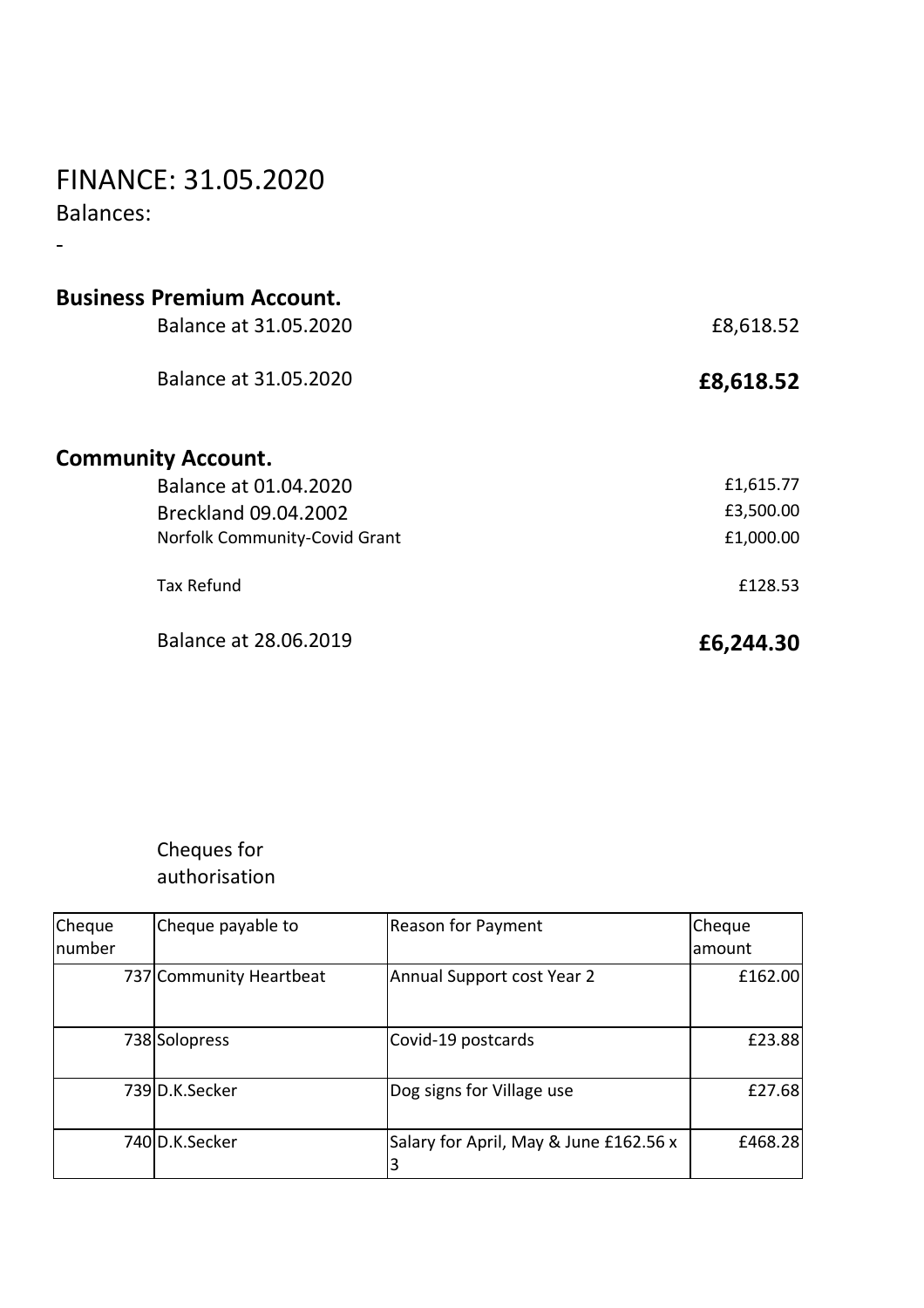# FINANCE: 31.05.2020

Balances:

-

| <b>Business Premium Account.</b> |           |
|----------------------------------|-----------|
| Balance at 31.05.2020            | £8,618.52 |
| Balance at 31.05.2020            | £8,618.52 |
| <b>Community Account.</b>        |           |
| Balance at 01.04.2020            | £1,615.77 |
| Breckland 09.04.2002             | £3,500.00 |
| Norfolk Community-Covid Grant    | £1,000.00 |
| <b>Tax Refund</b>                | £128.53   |
| Balance at 28.06.2019            | £6,244.30 |

# Cheques for authorisation

| Cheque<br>number | Cheque payable to       | <b>Reason for Payment</b>              | Cheque<br>lamount |
|------------------|-------------------------|----------------------------------------|-------------------|
|                  | 737 Community Heartbeat | Annual Support cost Year 2             | £162.00           |
|                  | 738 Solopress           | Covid-19 postcards                     | £23.88            |
|                  | 739 D.K.Secker          | Dog signs for Village use              | £27.68            |
|                  | 740 D.K.Secker          | Salary for April, May & June £162.56 x | £468.28           |